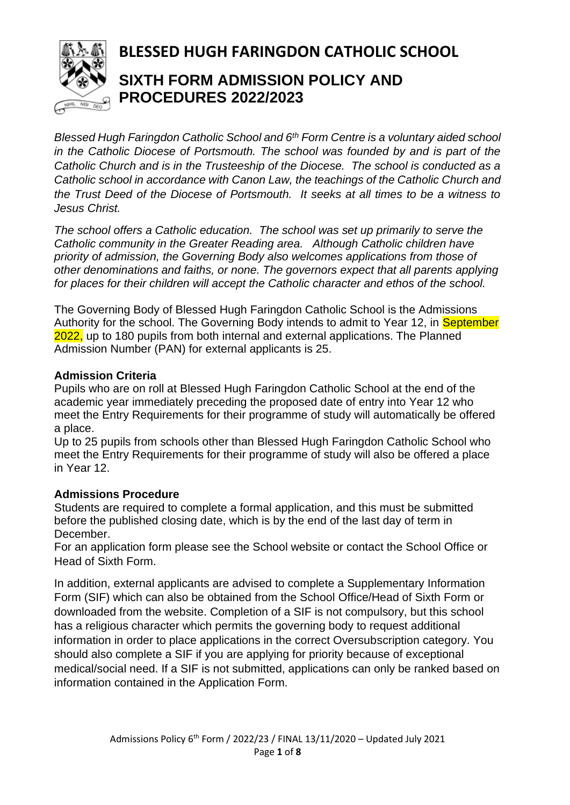

# **BLESSED HUGH FARINGDON CATHOLIC SCHOOL**

# **SIXTH FORM ADMISSION POLICY AND PROCEDURES 2022/2023**

*Blessed Hugh Faringdon Catholic School and 6th Form Centre is a voluntary aided school in the Catholic Diocese of Portsmouth. The school was founded by and is part of the Catholic Church and is in the Trusteeship of the Diocese. The school is conducted as a Catholic school in accordance with Canon Law, the teachings of the Catholic Church and the Trust Deed of the Diocese of Portsmouth. It seeks at all times to be a witness to Jesus Christ.*

*The school offers a Catholic education. The school was set up primarily to serve the Catholic community in the Greater Reading area. Although Catholic children have priority of admission, the Governing Body also welcomes applications from those of other denominations and faiths, or none. The governors expect that all parents applying for places for their children will accept the Catholic character and ethos of the school.*

The Governing Body of Blessed Hugh Faringdon Catholic School is the Admissions Authority for the school. The Governing Body intends to admit to Year 12, in September 2022, up to 180 pupils from both internal and external applications. The Planned Admission Number (PAN) for external applicants is 25.

# **Admission Criteria**

Pupils who are on roll at Blessed Hugh Faringdon Catholic School at the end of the academic year immediately preceding the proposed date of entry into Year 12 who meet the Entry Requirements for their programme of study will automatically be offered a place.

Up to 25 pupils from schools other than Blessed Hugh Faringdon Catholic School who meet the Entry Requirements for their programme of study will also be offered a place in Year 12.

# **Admissions Procedure**

Students are required to complete a formal application, and this must be submitted before the published closing date, which is by the end of the last day of term in December.

For an application form please see the School website or contact the School Office or Head of Sixth Form.

In addition, external applicants are advised to complete a Supplementary Information Form (SIF) which can also be obtained from the School Office/Head of Sixth Form or downloaded from the website. Completion of a SIF is not compulsory, but this school has a religious character which permits the governing body to request additional information in order to place applications in the correct Oversubscription category. You should also complete a SIF if you are applying for priority because of exceptional medical/social need. If a SIF is not submitted, applications can only be ranked based on information contained in the Application Form.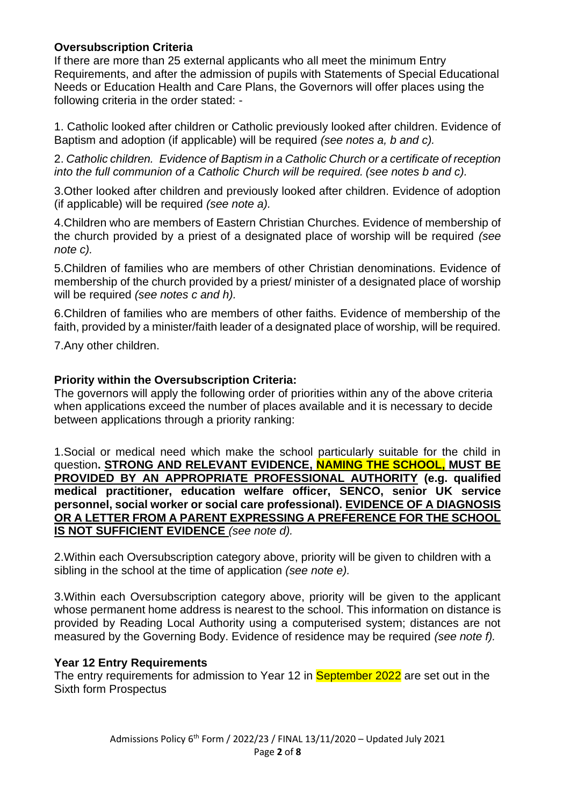# **Oversubscription Criteria**

If there are more than 25 external applicants who all meet the minimum Entry Requirements, and after the admission of pupils with Statements of Special Educational Needs or Education Health and Care Plans, the Governors will offer places using the following criteria in the order stated: -

1. Catholic looked after children or Catholic previously looked after children. Evidence of Baptism and adoption (if applicable) will be required *(see notes a, b and c).*

2. *Catholic children. Evidence of Baptism in a Catholic Church or a certificate of reception into the full communion of a Catholic Church will be required. (see notes b and c).*

3.Other looked after children and previously looked after children. Evidence of adoption (if applicable) will be required *(see note a).*

4.Children who are members of Eastern Christian Churches. Evidence of membership of the church provided by a priest of a designated place of worship will be required *(see note c).*

5.Children of families who are members of other Christian denominations. Evidence of membership of the church provided by a priest/ minister of a designated place of worship will be required *(see notes c and h).*

6.Children of families who are members of other faiths. Evidence of membership of the faith, provided by a minister/faith leader of a designated place of worship, will be required.

7.Any other children.

# **Priority within the Oversubscription Criteria:**

The governors will apply the following order of priorities within any of the above criteria when applications exceed the number of places available and it is necessary to decide between applications through a priority ranking:

1.Social or medical need which make the school particularly suitable for the child in question**. STRONG AND RELEVANT EVIDENCE, NAMING THE SCHOOL, MUST BE PROVIDED BY AN APPROPRIATE PROFESSIONAL AUTHORITY (e.g. qualified medical practitioner, education welfare officer, SENCO, senior UK service personnel, social worker or social care professional). EVIDENCE OF A DIAGNOSIS OR A LETTER FROM A PARENT EXPRESSING A PREFERENCE FOR THE SCHOOL IS NOT SUFFICIENT EVIDENCE** *(see note d).*

2.Within each Oversubscription category above, priority will be given to children with a sibling in the school at the time of application *(see note e).* 

3.Within each Oversubscription category above, priority will be given to the applicant whose permanent home address is nearest to the school. This information on distance is provided by Reading Local Authority using a computerised system; distances are not measured by the Governing Body. Evidence of residence may be required *(see note f).*

#### **Year 12 Entry Requirements**

The entry requirements for admission to Year 12 in **September 2022** are set out in the Sixth form Prospectus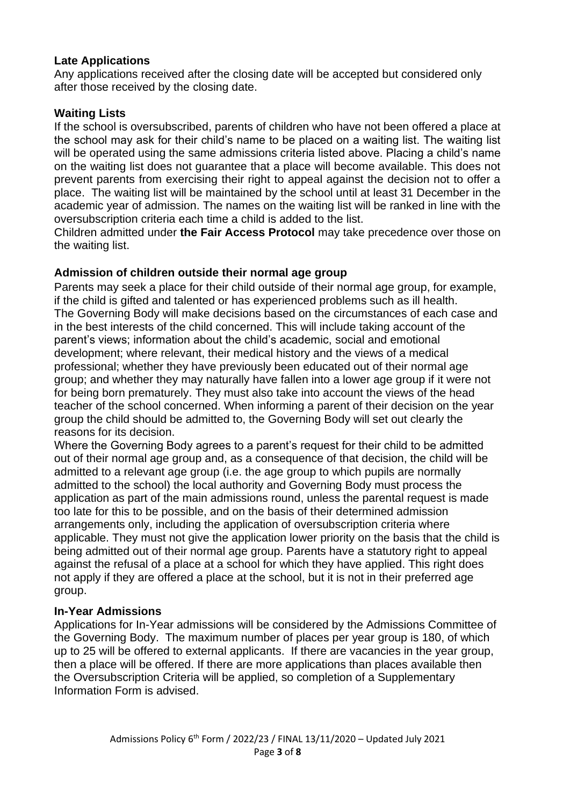### **Late Applications**

Any applications received after the closing date will be accepted but considered only after those received by the closing date.

# **Waiting Lists**

If the school is oversubscribed, parents of children who have not been offered a place at the school may ask for their child's name to be placed on a waiting list. The waiting list will be operated using the same admissions criteria listed above. Placing a child's name on the waiting list does not guarantee that a place will become available. This does not prevent parents from exercising their right to appeal against the decision not to offer a place. The waiting list will be maintained by the school until at least 31 December in the academic year of admission. The names on the waiting list will be ranked in line with the oversubscription criteria each time a child is added to the list.

Children admitted under **the Fair Access Protocol** may take precedence over those on the waiting list.

# **Admission of children outside their normal age group**

Parents may seek a place for their child outside of their normal age group, for example, if the child is gifted and talented or has experienced problems such as ill health. The Governing Body will make decisions based on the circumstances of each case and in the best interests of the child concerned. This will include taking account of the parent's views; information about the child's academic, social and emotional development; where relevant, their medical history and the views of a medical professional; whether they have previously been educated out of their normal age group; and whether they may naturally have fallen into a lower age group if it were not for being born prematurely. They must also take into account the views of the head teacher of the school concerned. When informing a parent of their decision on the year group the child should be admitted to, the Governing Body will set out clearly the reasons for its decision.

Where the Governing Body agrees to a parent's request for their child to be admitted out of their normal age group and, as a consequence of that decision, the child will be admitted to a relevant age group (i.e. the age group to which pupils are normally admitted to the school) the local authority and Governing Body must process the application as part of the main admissions round, unless the parental request is made too late for this to be possible, and on the basis of their determined admission arrangements only, including the application of oversubscription criteria where applicable. They must not give the application lower priority on the basis that the child is being admitted out of their normal age group. Parents have a statutory right to appeal against the refusal of a place at a school for which they have applied. This right does not apply if they are offered a place at the school, but it is not in their preferred age group.

#### **In-Year Admissions**

Applications for In-Year admissions will be considered by the Admissions Committee of the Governing Body. The maximum number of places per year group is 180, of which up to 25 will be offered to external applicants. If there are vacancies in the year group, then a place will be offered. If there are more applications than places available then the Oversubscription Criteria will be applied, so completion of a Supplementary Information Form is advised.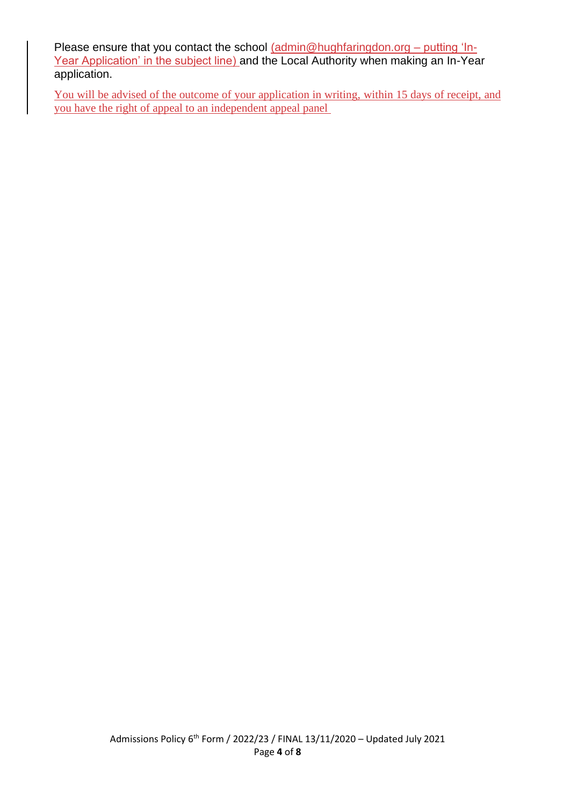Please ensure that you contact the school [\(admin@hughfaringdon.org](mailto:admin@hughfaringdon.org) - putting 'In-Year Application' in the subject line) and the Local Authority when making an In-Year application.

You will be advised of the outcome of your application in writing, within 15 days of receipt, and you have the right of appeal to an independent appeal panel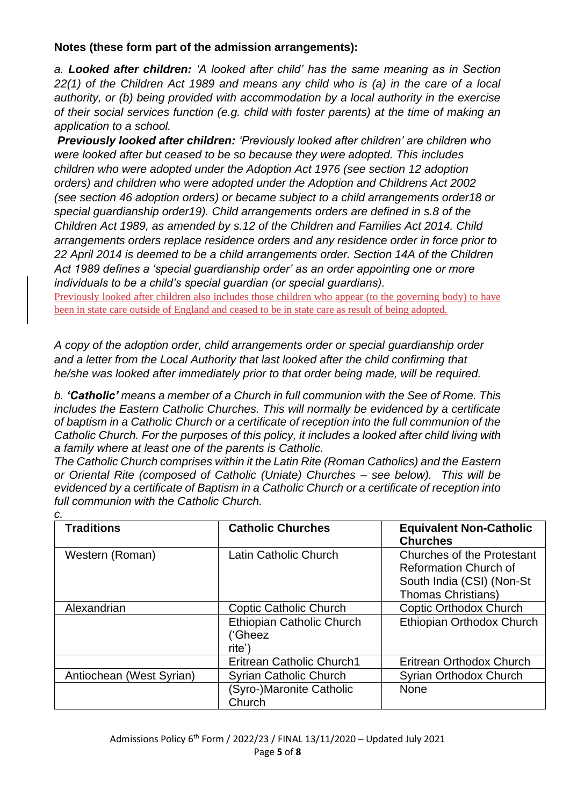# **Notes (these form part of the admission arrangements):**

*a. Looked after children: 'A looked after child' has the same meaning as in Section 22(1) of the Children Act 1989 and means any child who is (a) in the care of a local authority, or (b) being provided with accommodation by a local authority in the exercise of their social services function (e.g. child with foster parents) at the time of making an application to a school.*

*Previously looked after children: 'Previously looked after children' are children who were looked after but ceased to be so because they were adopted. This includes children who were adopted under the Adoption Act 1976 (see section 12 adoption orders) and children who were adopted under the Adoption and Childrens Act 2002 (see section 46 adoption orders) or became subject to a child arrangements order18 or special guardianship order19). Child arrangements orders are defined in s.8 of the Children Act 1989, as amended by s.12 of the Children and Families Act 2014. Child arrangements orders replace residence orders and any residence order in force prior to 22 April 2014 is deemed to be a child arrangements order. Section 14A of the Children Act 1989 defines a 'special guardianship order' as an order appointing one or more individuals to be a child's special guardian (or special guardians).*

Previously looked after children also includes those children who appear (to the governing body) to have been in state care outside of England and ceased to be in state care as result of being adopted.

*A copy of the adoption order, child arrangements order or special guardianship order and a letter from the Local Authority that last looked after the child confirming that he/she was looked after immediately prior to that order being made, will be required.*

*b. 'Catholic' means a member of a Church in full communion with the See of Rome. This includes the Eastern Catholic Churches. This will normally be evidenced by a certificate of baptism in a Catholic Church or a certificate of reception into the full communion of the Catholic Church. For the purposes of this policy, it includes a looked after child living with a family where at least one of the parents is Catholic.* 

*The Catholic Church comprises within it the Latin Rite (Roman Catholics) and the Eastern or Oriental Rite (composed of Catholic (Uniate) Churches – see below). This will be evidenced by a certificate of Baptism in a Catholic Church or a certificate of reception into full communion with the Catholic Church.*

| c.                       |                                                       |                                                                                                                             |
|--------------------------|-------------------------------------------------------|-----------------------------------------------------------------------------------------------------------------------------|
| <b>Traditions</b>        | <b>Catholic Churches</b>                              | <b>Equivalent Non-Catholic</b><br><b>Churches</b>                                                                           |
| Western (Roman)          | Latin Catholic Church                                 | <b>Churches of the Protestant</b><br><b>Reformation Church of</b><br>South India (CSI) (Non-St<br><b>Thomas Christians)</b> |
| Alexandrian              | Coptic Catholic Church                                | <b>Coptic Orthodox Church</b>                                                                                               |
|                          | <b>Ethiopian Catholic Church</b><br>('Gheez<br>rite') | Ethiopian Orthodox Church                                                                                                   |
|                          | <b>Eritrean Catholic Church1</b>                      | Eritrean Orthodox Church                                                                                                    |
| Antiochean (West Syrian) | <b>Syrian Catholic Church</b>                         | Syrian Orthodox Church                                                                                                      |
|                          | (Syro-)Maronite Catholic<br>Church                    | <b>None</b>                                                                                                                 |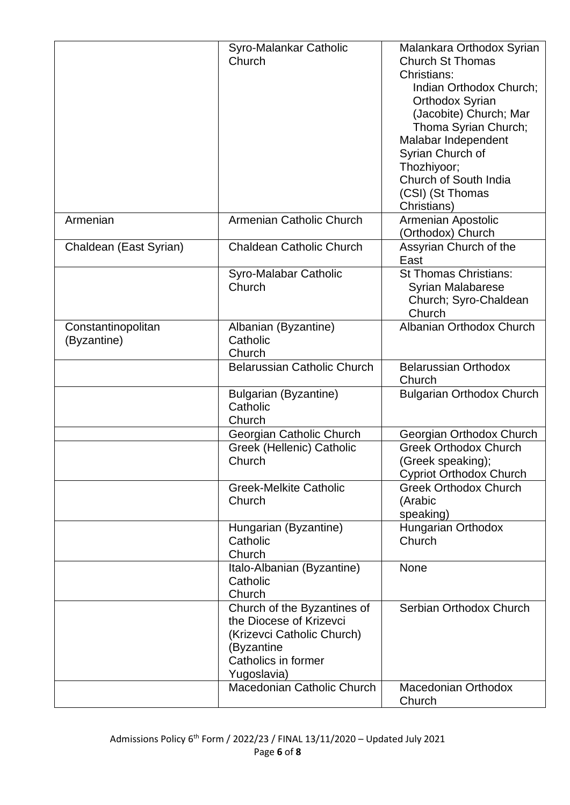|                                   | Syro-Malankar Catholic<br>Church                                                                                                         | Malankara Orthodox Syrian<br><b>Church St Thomas</b><br>Christians:<br>Indian Orthodox Church;<br>Orthodox Syrian<br>(Jacobite) Church; Mar<br>Thoma Syrian Church;<br>Malabar Independent<br>Syrian Church of<br>Thozhiyoor; |
|-----------------------------------|------------------------------------------------------------------------------------------------------------------------------------------|-------------------------------------------------------------------------------------------------------------------------------------------------------------------------------------------------------------------------------|
|                                   |                                                                                                                                          | Church of South India<br>(CSI) (St Thomas<br>Christians)                                                                                                                                                                      |
| Armenian                          | Armenian Catholic Church                                                                                                                 | Armenian Apostolic<br>(Orthodox) Church                                                                                                                                                                                       |
| Chaldean (East Syrian)            | <b>Chaldean Catholic Church</b>                                                                                                          | Assyrian Church of the<br>East                                                                                                                                                                                                |
|                                   | Syro-Malabar Catholic<br>Church                                                                                                          | <b>St Thomas Christians:</b><br><b>Syrian Malabarese</b><br>Church; Syro-Chaldean<br>Church                                                                                                                                   |
| Constantinopolitan<br>(Byzantine) | Albanian (Byzantine)<br>Catholic<br>Church                                                                                               | Albanian Orthodox Church                                                                                                                                                                                                      |
|                                   | <b>Belarussian Catholic Church</b>                                                                                                       | <b>Belarussian Orthodox</b><br>Church                                                                                                                                                                                         |
|                                   | Bulgarian (Byzantine)<br>Catholic<br>Church                                                                                              | <b>Bulgarian Orthodox Church</b>                                                                                                                                                                                              |
|                                   | Georgian Catholic Church                                                                                                                 | Georgian Orthodox Church                                                                                                                                                                                                      |
|                                   | Greek (Hellenic) Catholic<br>Church                                                                                                      | <b>Greek Orthodox Church</b><br>(Greek speaking);<br><b>Cypriot Orthodox Church</b>                                                                                                                                           |
|                                   | <b>Greek-Melkite Catholic</b><br>Church                                                                                                  | <b>Greek Orthodox Church</b><br>(Arabic<br>speaking)                                                                                                                                                                          |
|                                   | Hungarian (Byzantine)<br>Catholic<br>Church                                                                                              | Hungarian Orthodox<br>Church                                                                                                                                                                                                  |
|                                   | Italo-Albanian (Byzantine)<br>Catholic<br>Church                                                                                         | None                                                                                                                                                                                                                          |
|                                   | Church of the Byzantines of<br>the Diocese of Krizevci<br>(Krizevci Catholic Church)<br>(Byzantine<br>Catholics in former<br>Yugoslavia) | Serbian Orthodox Church                                                                                                                                                                                                       |
|                                   | Macedonian Catholic Church                                                                                                               | <b>Macedonian Orthodox</b><br>Church                                                                                                                                                                                          |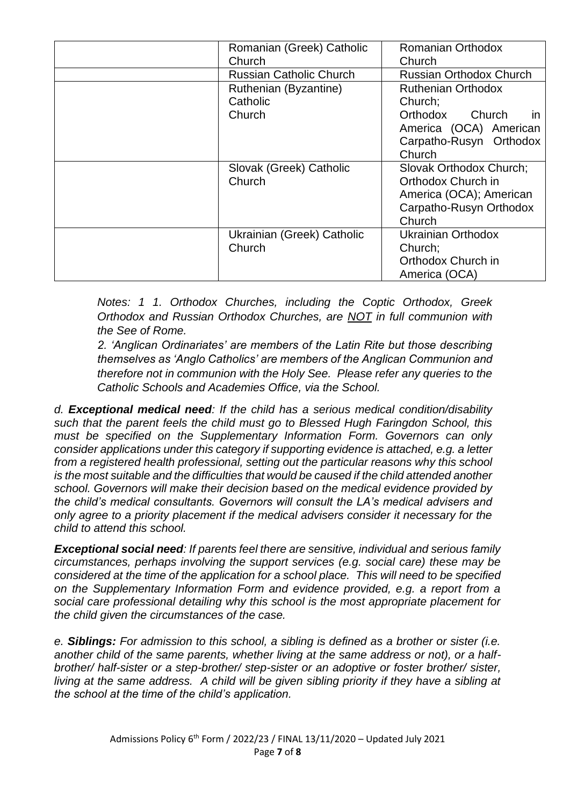| Romanian (Greek) Catholic      | <b>Romanian Orthodox</b>       |
|--------------------------------|--------------------------------|
| Church                         | Church                         |
| <b>Russian Catholic Church</b> | <b>Russian Orthodox Church</b> |
| Ruthenian (Byzantine)          | <b>Ruthenian Orthodox</b>      |
| Catholic                       | Church;                        |
| Church                         | Orthodox<br>Church<br>in.      |
|                                | America (OCA) American         |
|                                | Carpatho-Rusyn Orthodox        |
|                                | Church                         |
| Slovak (Greek) Catholic        | Slovak Orthodox Church;        |
| Church                         | Orthodox Church in             |
|                                | America (OCA); American        |
|                                | Carpatho-Rusyn Orthodox        |
|                                | Church                         |
| Ukrainian (Greek) Catholic     | Ukrainian Orthodox             |
| Church                         | Church;                        |
|                                | Orthodox Church in             |
|                                | America (OCA)                  |

*Notes: 1 1. Orthodox Churches, including the Coptic Orthodox, Greek Orthodox and Russian Orthodox Churches, are NOT in full communion with the See of Rome.*

*2. 'Anglican Ordinariates' are members of the Latin Rite but those describing themselves as 'Anglo Catholics' are members of the Anglican Communion and therefore not in communion with the Holy See. Please refer any queries to the Catholic Schools and Academies Office, via the School.*

*d. Exceptional medical need: If the child has a serious medical condition/disability such that the parent feels the child must go to Blessed Hugh Faringdon School, this must be specified on the Supplementary Information Form. Governors can only consider applications under this category if supporting evidence is attached, e.g. a letter from a registered health professional, setting out the particular reasons why this school is the most suitable and the difficulties that would be caused if the child attended another school. Governors will make their decision based on the medical evidence provided by the child's medical consultants. Governors will consult the LA's medical advisers and only agree to a priority placement if the medical advisers consider it necessary for the child to attend this school.* 

*Exceptional social need: If parents feel there are sensitive, individual and serious family circumstances, perhaps involving the support services (e.g. social care) these may be considered at the time of the application for a school place. This will need to be specified on the Supplementary Information Form and evidence provided, e.g. a report from a social care professional detailing why this school is the most appropriate placement for the child given the circumstances of the case.* 

*e. Siblings: For admission to this school, a sibling is defined as a brother or sister (i.e. another child of the same parents, whether living at the same address or not), or a halfbrother/ half-sister or a step-brother/ step-sister or an adoptive or foster brother/ sister, living at the same address. A child will be given sibling priority if they have a sibling at the school at the time of the child's application.*